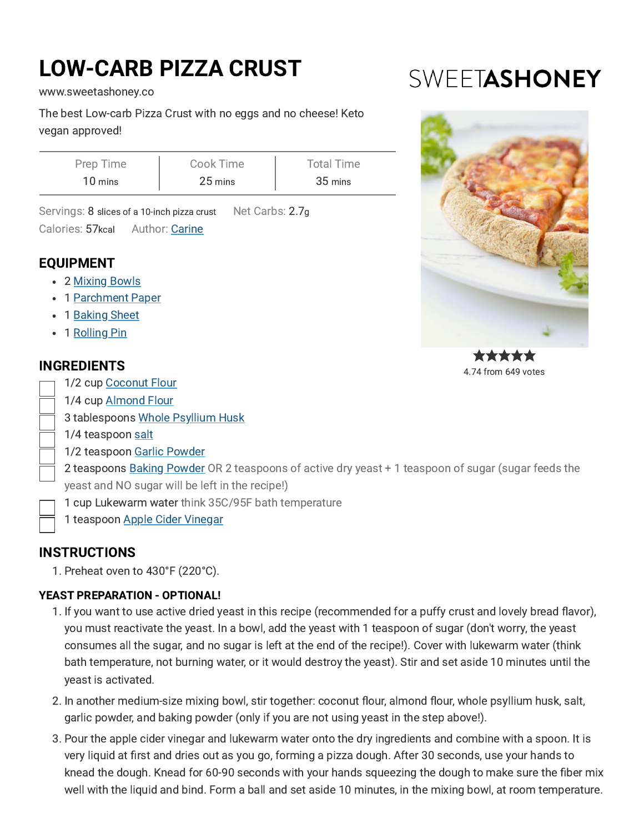# LOW-CARB PIZZA CRUST

[www.sweetashoney.co](https://www.sweetashoney.co/)

The best Low-carb Pizza Crust with no eggs and no cheese! Keto vegan approved!

| Prep Time | Cook Time | <b>Total Time</b> |
|-----------|-----------|-------------------|
| 10 mins   | 25 mins   | 35 mins           |

Servings: 8 slices of a 10-inch pizza crust Net Carbs: 2.7g

Author: [Carine](https://www.sweetashoney.co/about/) Calories: 57kcal

# EQUIPMENT

- 2 [Mixing](https://www.amazon.com/Kitchen-YIHONG-Stainless-Prepping-Cooking/dp/B08GY36VVJ?crid=20Q0K0M2LTEWO&keywords=mixing+bowl&qid=1643932797&s=home-garden&sprefix=mixing+bowl%2Cgarden%2C259&sr=1-12&linkCode=ll1&tag=sweetashoney-20&linkId=ea2f695f5ba138d3cfce4aa74912d165&language=en_US&ref_=as_li_ss_tl) Bowls
- 1 [Parchment](https://www.amazon.com/Unbleanched-Parchment-Non-Stick-Grilling-Steaming/dp/B08NYGWR4S?crid=R4B2N81X81K9&keywords=parchment%2Bpaper&qid=1643933578&s=home-garden&sprefix=parchment%2Bpape%2Cgarden%2C257&sr=1-6&th=1&linkCode=ll1&tag=sweetashoney-20&linkId=cb11d65fb375091c6ecaac36f0fd488e&language=en_US&ref_=as_li_ss_tl) Paper
- 1 [Baking](https://www.amazon.com/Nordic-Ware-Natural-Aluminum-Commercial/dp/B0049C2S32?crid=1GB18OBKR8MR&keywords=baking%2Bsheet&qid=1643942732&sprefix=baking%2Bshe%2Caps%2C256&sr=8-6&th=1&linkCode=ll1&tag=sweetashoney-20&linkId=7ae209f39a16f3e3a7d79ed6050f665c&language=en_US&ref_=as_li_ss_tl) Sheet
- 1 [Rolling](https://www.amazon.com/HelferX-Long-Wooden-Rolling-Pin/dp/B082HCZ44Z?crid=GEC8FL0NE0SY&keywords=rolling%2Bpin&qid=1643934834&s=home-garden&sprefix=rolling%2Bpi%2Cgarden%2C256&sr=1-7&th=1&linkCode=ll1&tag=sweetashoney-20&linkId=87999f696d6a1c6325341e7e28bbfd64&language=en_US&ref_=as_li_ss_tl) Pin

# INGREDIENTS

- 1/2 cup [Coconut](https://www.amazon.com/gp/product/B07DDMZPL2/ref=as_li_qf_asin_il_tl?ie=UTF8&tag=sweetashoney-20&creative=9325&linkCode=as2&creativeASIN=B07DDMZPL2&linkId=e4de60fba0081194cc90603fc3352e00) Flour
- 1/4 cup [Almond](https://www.amazon.com/gp/product/B075X4M7JZ/ref=as_li_qf_asin_il_tl?ie=UTF8&tag=sweetashoney-20&creative=9325&linkCode=as2&creativeASIN=B075X4M7JZ&linkId=e08145c832e0e76cee4302366f8ed4eb) Flour
- 3 tablespoons Whole [Psyllium](https://www.amazon.com/gp/product/B0016AXN7A/ref=as_li_qf_asin_il_tl?ie=UTF8&tag=sweetashoney-20&creative=9325&linkCode=as2&creativeASIN=B0016AXN7A&linkId=fcb5870b7f555617aef37900143a22e8) Husk
- 1/4 teaspoon [salt](https://www.amazon.com/Spice-Lab-Pink-Himalayan-Salt/dp/B004LKVRLG?keywords=salt&qid=1643931577&refinements=p_n_cpf_eligible%3A21512497011&rnid=21512496011&s=grocery&sr=1-1&linkCode=ll1&tag=sweetashoney-20&linkId=fef3ee57518c7ec2507ce595b4614635&language=en_US&ref_=as_li_ss_tl)
- 1/2 teaspoon Garlic [Powder](https://www.amazon.com/gp/product/B003T0668I/ref=as_li_qf_asin_il_tl?ie=UTF8&tag=sweetashoney-20&creative=9325&linkCode=as2&creativeASIN=B003T0668I&linkId=e7a5fc86125768f588c6c871c70d9cf0)

2 teaspoons Baking [Powder](https://www.amazon.com/gp/product/B078T2TL6M/ref=as_li_qf_asin_il_tl?ie=UTF8&tag=sweetashoney-20&creative=9325&linkCode=as2&creativeASIN=B078T2TL6M&linkId=d07aa2bea7ece4648ca0a429a23d96a7) OR 2 teaspoons of active dry yeast + 1 teaspoon of sugar (sugar feeds the yeast and NO sugar will be left in the recipe!)

- 1 cup Lukewarm water think 35C/95F bath temperature
- 1 teaspoon Apple Cider [Vinegar](https://www.amazon.com/Bragg-Organic-Vinegar-Cleanser-Promotes/dp/B01CSX4N9K?crid=BTWNSH07X8OW&keywords=Apple+cider+vinegar&qid=1643932022&sprefix=apple+cider+vinegar%2Caps%2C254&sr=8-5&linkCode=ll1&tag=sweetashoney-20&linkId=c1ec2096b80299ecce4b9579504b5262&language=en_US&ref_=as_li_ss_tl)

# **INSTRUCTIONS**

1. Preheat oven to 430°F (220°C).

#### YEAST PREPARATION - OPTIONAL!

- 1. If you want to use active dried yeast in this recipe (recommended for a puffy crust and lovely bread flavor), you must reactivate the yeast. In a bowl, add the yeast with 1 teaspoon of sugar (don't worry, the yeast consumes all the sugar, and no sugar is left at the end of the recipe!). Cover with lukewarm water (think bath temperature, not burning water, or it would destroy the yeast). Stir and set aside 10 minutes until the yeast is activated.
- 2. In another medium-size mixing bowl, stir together: coconut flour, almond flour, whole psyllium husk, salt, garlic powder, and baking powder (only if you are not using yeast in the step above!).
- 3. Pour the apple cider vinegar and lukewarm water onto the dry ingredients and combine with a spoon. It is very liquid at first and dries out as you go, forming a pizza dough. After 30 seconds, use your hands to knead the dough. Knead for 60-90 seconds with your hands squeezing the dough to make sure the fiber mix well with the liquid and bind. Form a ball and set aside 10 minutes, in the mixing bowl, at room temperature.

# SWEETASHONEY



4.74 from 649 votes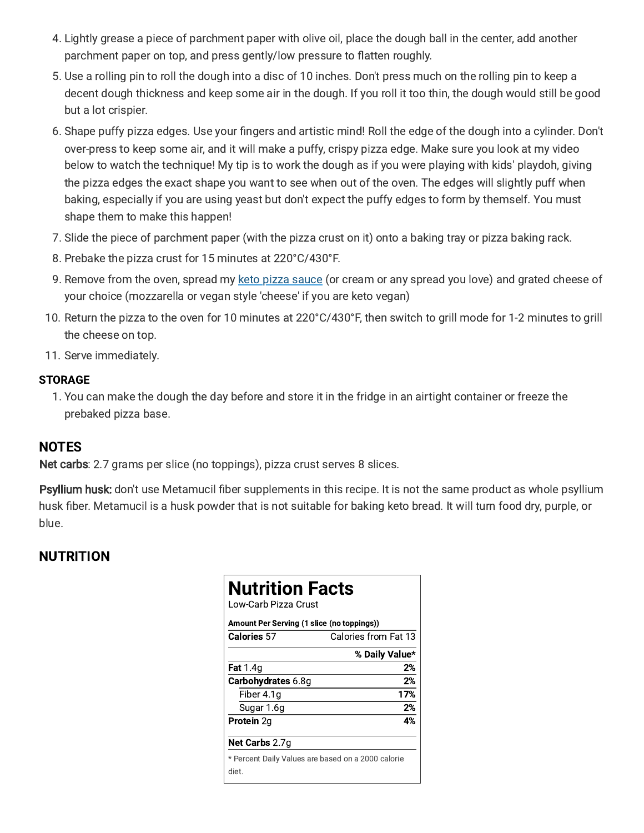- 4. Lightly grease a piece of parchment paper with olive oil, place the dough ball in the center, add another parchment paper on top, and press gently/low pressure to flatten roughly.
- 5. Use a rolling pin to roll the dough into a disc of 10 inches. Don't press much on the rolling pin to keep a decent dough thickness and keep some air in the dough. If you roll it too thin, the dough would still be good but a lot crispier.
- . Shape puffy pizza edges. Use your fingers and artistic mind! Roll the edge of the dough into a cylinder. Don't over-press to keep some air, and it will make a puffy, crispy pizza edge. Make sure you look at my video below to watch the technique! My tip is to work the dough as if you were playing with kids' playdoh, giving the pizza edges the exact shape you want to see when out of the oven. The edges will slightly puff when baking, especially if you are using yeast but don't expect the puffy edges to form by themself. You must shape them to make this happen!
- 7. Slide the piece of parchment paper (with the pizza crust on it) onto a baking tray or pizza baking rack.
- . Prebake the pizza crust for 15 minutes at 220°C/430°F.
- 9. Remove from the oven, spread my keto pizza [sauce](https://www.sweetashoney.co/keto-pizza-sauce/) (or cream or any spread you love) and grated cheese of your choice (mozzarella or vegan style 'cheese' if you are keto vegan)
- 10. Return the pizza to the oven for 10 minutes at 220°C/430°F, then switch to grill mode for 1-2 minutes to grill the cheese on top.
- 11. Serve immediately.

#### **STORAGE**

1. You can make the dough the day before and store it in the fridge in an airtight container or freeze the prebaked pizza base.

# **NOTES**

Net carbs: 2.7 grams per slice (no toppings), pizza crust serves 8 slices.

Psyllium husk: don't use Metamucil fiber supplements in this recipe. It is not the same product as whole psyllium husk fiber. Metamucil is a husk powder that is not suitable for baking keto bread. It will turn food dry, purple, or blue.

# NUTRITION

| <b>Nutrition Facts</b><br>Low-Carb Pizza Crust<br>Amount Per Serving (1 slice (no toppings)) |                                                    |  |
|----------------------------------------------------------------------------------------------|----------------------------------------------------|--|
| <b>Calories 57</b>                                                                           | Calories from Fat 13                               |  |
|                                                                                              | % Daily Value*                                     |  |
| <b>Fat</b> 1.4q                                                                              | 2%                                                 |  |
| Carbohydrates 6.8g                                                                           | 2%                                                 |  |
| Fiber 4.1q                                                                                   | 17%                                                |  |
| Sugar 1.6g                                                                                   | 2%                                                 |  |
| <b>Protein 2g</b>                                                                            | 4%                                                 |  |
| Net Carbs 2.7q                                                                               |                                                    |  |
| diet.                                                                                        | * Percent Daily Values are based on a 2000 calorie |  |